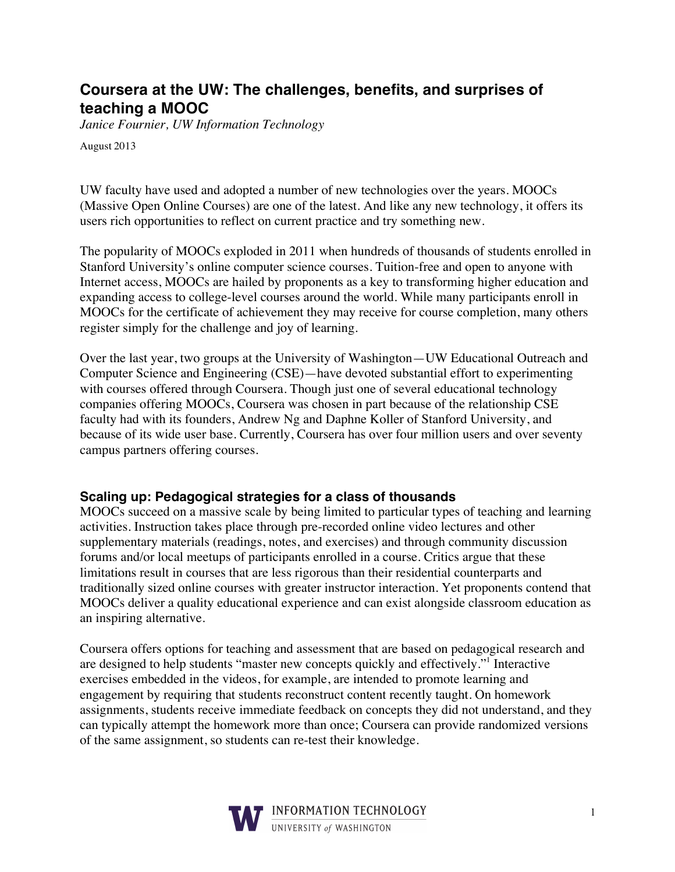# **Coursera at the UW: The challenges, benefits, and surprises of teaching a MOOC**

*Janice Fournier, UW Information Technology*

August 2013

UW faculty have used and adopted a number of new technologies over the years. MOOCs (Massive Open Online Courses) are one of the latest. And like any new technology, it offers its users rich opportunities to reflect on current practice and try something new.

The popularity of MOOCs exploded in 2011 when hundreds of thousands of students enrolled in Stanford University's online computer science courses. Tuition-free and open to anyone with Internet access, MOOCs are hailed by proponents as a key to transforming higher education and expanding access to college-level courses around the world. While many participants enroll in MOOCs for the certificate of achievement they may receive for course completion, many others register simply for the challenge and joy of learning.

Over the last year, two groups at the University of Washington—UW Educational Outreach and Computer Science and Engineering (CSE)—have devoted substantial effort to experimenting with courses offered through Coursera. Though just one of several educational technology companies offering MOOCs, Coursera was chosen in part because of the relationship CSE faculty had with its founders, Andrew Ng and Daphne Koller of Stanford University, and because of its wide user base. Currently, Coursera has over four million users and over seventy campus partners offering courses.

#### **Scaling up: Pedagogical strategies for a class of thousands**

MOOCs succeed on a massive scale by being limited to particular types of teaching and learning activities. Instruction takes place through pre-recorded online video lectures and other supplementary materials (readings, notes, and exercises) and through community discussion forums and/or local meetups of participants enrolled in a course. Critics argue that these limitations result in courses that are less rigorous than their residential counterparts and traditionally sized online courses with greater instructor interaction. Yet proponents contend that MOOCs deliver a quality educational experience and can exist alongside classroom education as an inspiring alternative.

Coursera offers options for teaching and assessment that are based on pedagogical research and are designed to help students "master new concepts quickly and effectively."<sup>1</sup> Interactive exercises embedded in the videos, for example, are intended to promote learning and engagement by requiring that students reconstruct content recently taught. On homework assignments, students receive immediate feedback on concepts they did not understand, and they can typically attempt the homework more than once; Coursera can provide randomized versions of the same assignment, so students can re-test their knowledge.

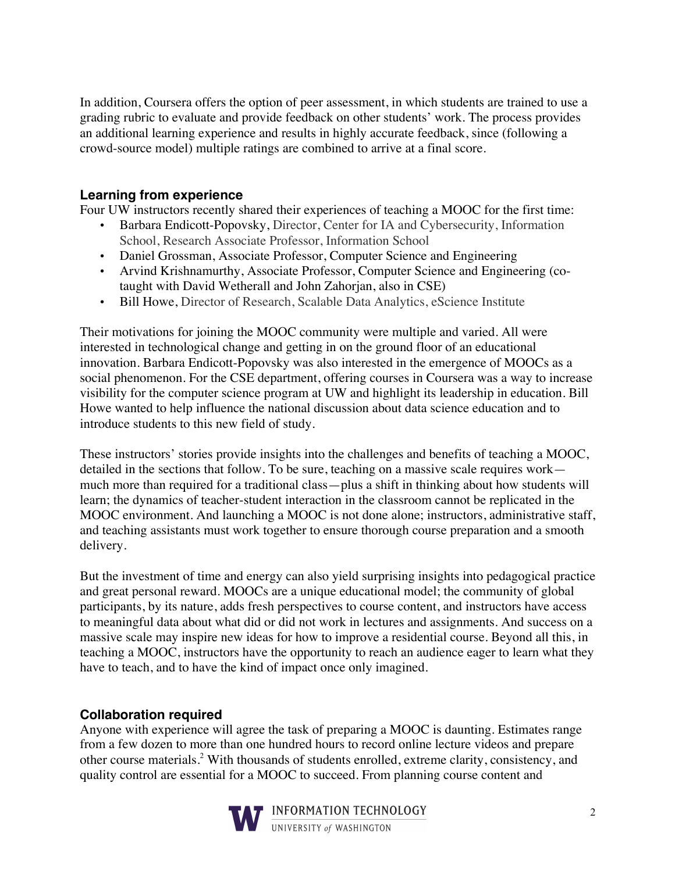In addition, Coursera offers the option of peer assessment, in which students are trained to use a grading rubric to evaluate and provide feedback on other students' work. The process provides an additional learning experience and results in highly accurate feedback, since (following a crowd-source model) multiple ratings are combined to arrive at a final score.

## **Learning from experience**

Four UW instructors recently shared their experiences of teaching a MOOC for the first time:

- Barbara Endicott-Popovsky, Director, Center for IA and Cybersecurity, Information School, Research Associate Professor, Information School
- Daniel Grossman, Associate Professor, Computer Science and Engineering
- Arvind Krishnamurthy, Associate Professor, Computer Science and Engineering (cotaught with David Wetherall and John Zahorjan, also in CSE)
- Bill Howe, Director of Research, Scalable Data Analytics, eScience Institute

Their motivations for joining the MOOC community were multiple and varied. All were interested in technological change and getting in on the ground floor of an educational innovation. Barbara Endicott-Popovsky was also interested in the emergence of MOOCs as a social phenomenon. For the CSE department, offering courses in Coursera was a way to increase visibility for the computer science program at UW and highlight its leadership in education. Bill Howe wanted to help influence the national discussion about data science education and to introduce students to this new field of study.

These instructors' stories provide insights into the challenges and benefits of teaching a MOOC, detailed in the sections that follow. To be sure, teaching on a massive scale requires work much more than required for a traditional class—plus a shift in thinking about how students will learn; the dynamics of teacher-student interaction in the classroom cannot be replicated in the MOOC environment. And launching a MOOC is not done alone; instructors, administrative staff, and teaching assistants must work together to ensure thorough course preparation and a smooth delivery.

But the investment of time and energy can also yield surprising insights into pedagogical practice and great personal reward. MOOCs are a unique educational model; the community of global participants, by its nature, adds fresh perspectives to course content, and instructors have access to meaningful data about what did or did not work in lectures and assignments. And success on a massive scale may inspire new ideas for how to improve a residential course. Beyond all this, in teaching a MOOC, instructors have the opportunity to reach an audience eager to learn what they have to teach, and to have the kind of impact once only imagined.

#### **Collaboration required**

Anyone with experience will agree the task of preparing a MOOC is daunting. Estimates range from a few dozen to more than one hundred hours to record online lecture videos and prepare other course materials. <sup>2</sup> With thousands of students enrolled, extreme clarity, consistency, and quality control are essential for a MOOC to succeed. From planning course content and

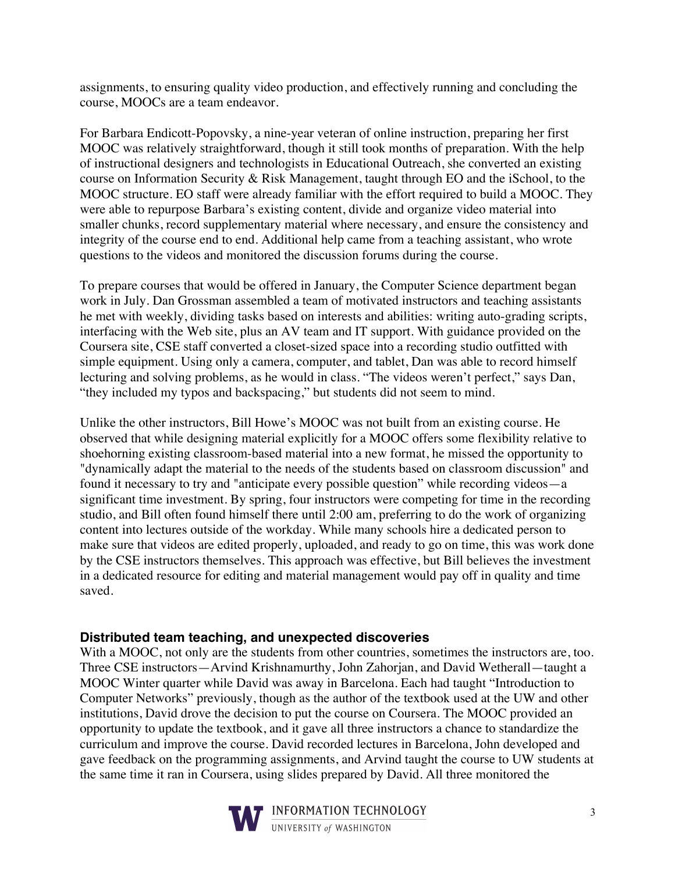assignments, to ensuring quality video production, and effectively running and concluding the course, MOOCs are a team endeavor.

For Barbara Endicott-Popovsky, a nine-year veteran of online instruction, preparing her first MOOC was relatively straightforward, though it still took months of preparation. With the help of instructional designers and technologists in Educational Outreach, she converted an existing course on Information Security & Risk Management, taught through EO and the iSchool, to the MOOC structure. EO staff were already familiar with the effort required to build a MOOC. They were able to repurpose Barbara's existing content, divide and organize video material into smaller chunks, record supplementary material where necessary, and ensure the consistency and integrity of the course end to end. Additional help came from a teaching assistant, who wrote questions to the videos and monitored the discussion forums during the course.

To prepare courses that would be offered in January, the Computer Science department began work in July. Dan Grossman assembled a team of motivated instructors and teaching assistants he met with weekly, dividing tasks based on interests and abilities: writing auto-grading scripts, interfacing with the Web site, plus an AV team and IT support. With guidance provided on the Coursera site, CSE staff converted a closet-sized space into a recording studio outfitted with simple equipment. Using only a camera, computer, and tablet, Dan was able to record himself lecturing and solving problems, as he would in class. "The videos weren't perfect," says Dan, "they included my typos and backspacing," but students did not seem to mind.

Unlike the other instructors, Bill Howe's MOOC was not built from an existing course. He observed that while designing material explicitly for a MOOC offers some flexibility relative to shoehorning existing classroom-based material into a new format, he missed the opportunity to "dynamically adapt the material to the needs of the students based on classroom discussion" and found it necessary to try and "anticipate every possible question" while recording videos—a significant time investment. By spring, four instructors were competing for time in the recording studio, and Bill often found himself there until 2:00 am, preferring to do the work of organizing content into lectures outside of the workday. While many schools hire a dedicated person to make sure that videos are edited properly, uploaded, and ready to go on time, this was work done by the CSE instructors themselves. This approach was effective, but Bill believes the investment in a dedicated resource for editing and material management would pay off in quality and time saved.

#### **Distributed team teaching, and unexpected discoveries**

With a MOOC, not only are the students from other countries, sometimes the instructors are, too. Three CSE instructors—Arvind Krishnamurthy, John Zahorjan, and David Wetherall—taught a MOOC Winter quarter while David was away in Barcelona. Each had taught "Introduction to Computer Networks" previously, though as the author of the textbook used at the UW and other institutions, David drove the decision to put the course on Coursera. The MOOC provided an opportunity to update the textbook, and it gave all three instructors a chance to standardize the curriculum and improve the course. David recorded lectures in Barcelona, John developed and gave feedback on the programming assignments, and Arvind taught the course to UW students at the same time it ran in Coursera, using slides prepared by David. All three monitored the



INFORMATION TECHNOLOGY UNIVERSITY of WASHINGTON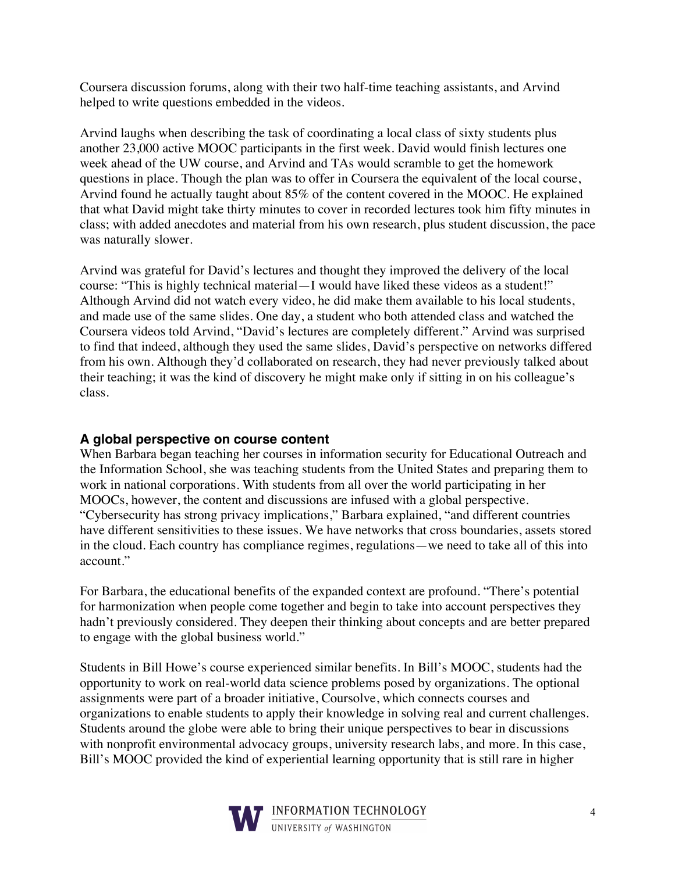Coursera discussion forums, along with their two half-time teaching assistants, and Arvind helped to write questions embedded in the videos.

Arvind laughs when describing the task of coordinating a local class of sixty students plus another 23,000 active MOOC participants in the first week. David would finish lectures one week ahead of the UW course, and Arvind and TAs would scramble to get the homework questions in place. Though the plan was to offer in Coursera the equivalent of the local course, Arvind found he actually taught about 85% of the content covered in the MOOC. He explained that what David might take thirty minutes to cover in recorded lectures took him fifty minutes in class; with added anecdotes and material from his own research, plus student discussion, the pace was naturally slower.

Arvind was grateful for David's lectures and thought they improved the delivery of the local course: "This is highly technical material—I would have liked these videos as a student!" Although Arvind did not watch every video, he did make them available to his local students, and made use of the same slides. One day, a student who both attended class and watched the Coursera videos told Arvind, "David's lectures are completely different." Arvind was surprised to find that indeed, although they used the same slides, David's perspective on networks differed from his own. Although they'd collaborated on research, they had never previously talked about their teaching; it was the kind of discovery he might make only if sitting in on his colleague's class.

## **A global perspective on course content**

When Barbara began teaching her courses in information security for Educational Outreach and the Information School, she was teaching students from the United States and preparing them to work in national corporations. With students from all over the world participating in her MOOCs, however, the content and discussions are infused with a global perspective. "Cybersecurity has strong privacy implications," Barbara explained, "and different countries have different sensitivities to these issues. We have networks that cross boundaries, assets stored in the cloud. Each country has compliance regimes, regulations—we need to take all of this into account."

For Barbara, the educational benefits of the expanded context are profound. "There's potential for harmonization when people come together and begin to take into account perspectives they hadn't previously considered. They deepen their thinking about concepts and are better prepared to engage with the global business world."

Students in Bill Howe's course experienced similar benefits. In Bill's MOOC, students had the opportunity to work on real-world data science problems posed by organizations. The optional assignments were part of a broader initiative, Coursolve, which connects courses and organizations to enable students to apply their knowledge in solving real and current challenges. Students around the globe were able to bring their unique perspectives to bear in discussions with nonprofit environmental advocacy groups, university research labs, and more. In this case, Bill's MOOC provided the kind of experiential learning opportunity that is still rare in higher

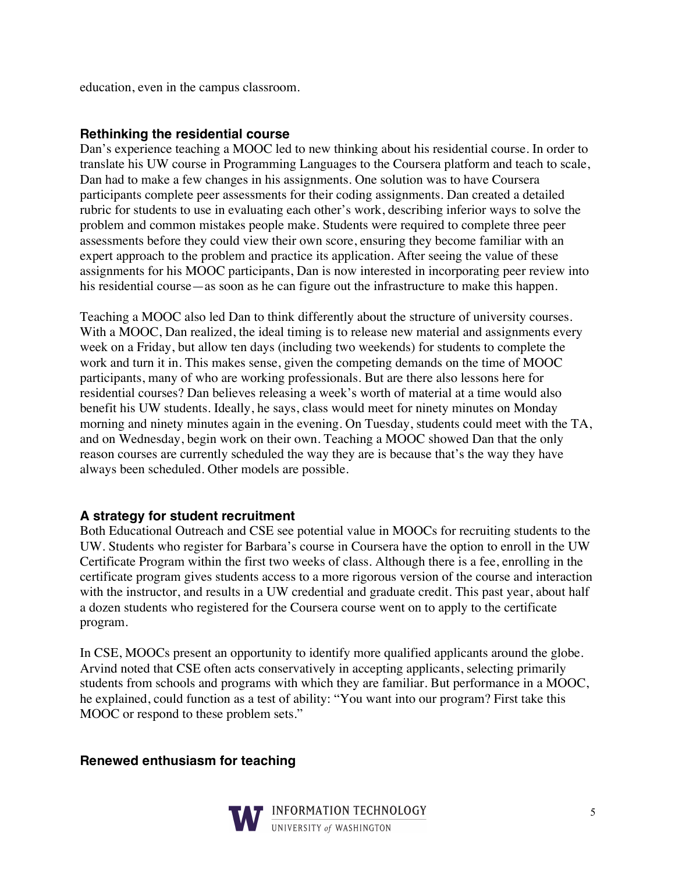education, even in the campus classroom.

### **Rethinking the residential course**

Dan's experience teaching a MOOC led to new thinking about his residential course. In order to translate his UW course in Programming Languages to the Coursera platform and teach to scale, Dan had to make a few changes in his assignments. One solution was to have Coursera participants complete peer assessments for their coding assignments. Dan created a detailed rubric for students to use in evaluating each other's work, describing inferior ways to solve the problem and common mistakes people make. Students were required to complete three peer assessments before they could view their own score, ensuring they become familiar with an expert approach to the problem and practice its application. After seeing the value of these assignments for his MOOC participants, Dan is now interested in incorporating peer review into his residential course—as soon as he can figure out the infrastructure to make this happen.

Teaching a MOOC also led Dan to think differently about the structure of university courses. With a MOOC, Dan realized, the ideal timing is to release new material and assignments every week on a Friday, but allow ten days (including two weekends) for students to complete the work and turn it in. This makes sense, given the competing demands on the time of MOOC participants, many of who are working professionals. But are there also lessons here for residential courses? Dan believes releasing a week's worth of material at a time would also benefit his UW students. Ideally, he says, class would meet for ninety minutes on Monday morning and ninety minutes again in the evening. On Tuesday, students could meet with the TA, and on Wednesday, begin work on their own. Teaching a MOOC showed Dan that the only reason courses are currently scheduled the way they are is because that's the way they have always been scheduled. Other models are possible.

## **A strategy for student recruitment**

Both Educational Outreach and CSE see potential value in MOOCs for recruiting students to the UW. Students who register for Barbara's course in Coursera have the option to enroll in the UW Certificate Program within the first two weeks of class. Although there is a fee, enrolling in the certificate program gives students access to a more rigorous version of the course and interaction with the instructor, and results in a UW credential and graduate credit. This past year, about half a dozen students who registered for the Coursera course went on to apply to the certificate program.

In CSE, MOOCs present an opportunity to identify more qualified applicants around the globe. Arvind noted that CSE often acts conservatively in accepting applicants, selecting primarily students from schools and programs with which they are familiar. But performance in a MOOC, he explained, could function as a test of ability: "You want into our program? First take this MOOC or respond to these problem sets."

**Renewed enthusiasm for teaching**

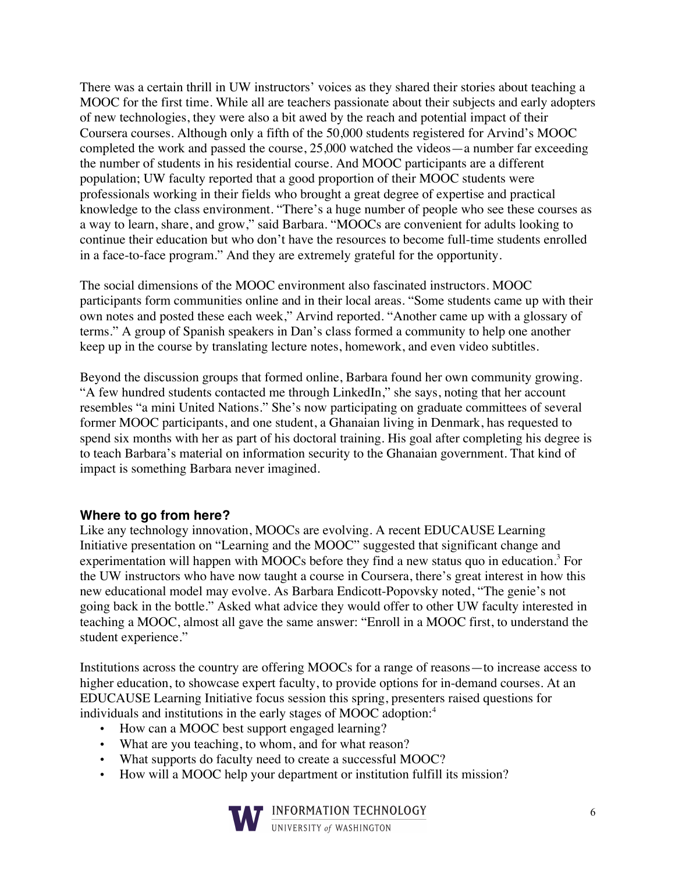There was a certain thrill in UW instructors' voices as they shared their stories about teaching a MOOC for the first time. While all are teachers passionate about their subjects and early adopters of new technologies, they were also a bit awed by the reach and potential impact of their Coursera courses. Although only a fifth of the 50,000 students registered for Arvind's MOOC completed the work and passed the course, 25,000 watched the videos—a number far exceeding the number of students in his residential course. And MOOC participants are a different population; UW faculty reported that a good proportion of their MOOC students were professionals working in their fields who brought a great degree of expertise and practical knowledge to the class environment. "There's a huge number of people who see these courses as a way to learn, share, and grow," said Barbara. "MOOCs are convenient for adults looking to continue their education but who don't have the resources to become full-time students enrolled in a face-to-face program." And they are extremely grateful for the opportunity.

The social dimensions of the MOOC environment also fascinated instructors. MOOC participants form communities online and in their local areas. "Some students came up with their own notes and posted these each week," Arvind reported. "Another came up with a glossary of terms." A group of Spanish speakers in Dan's class formed a community to help one another keep up in the course by translating lecture notes, homework, and even video subtitles.

Beyond the discussion groups that formed online, Barbara found her own community growing. "A few hundred students contacted me through LinkedIn," she says, noting that her account resembles "a mini United Nations." She's now participating on graduate committees of several former MOOC participants, and one student, a Ghanaian living in Denmark, has requested to spend six months with her as part of his doctoral training. His goal after completing his degree is to teach Barbara's material on information security to the Ghanaian government. That kind of impact is something Barbara never imagined.

## **Where to go from here?**

Like any technology innovation, MOOCs are evolving. A recent EDUCAUSE Learning Initiative presentation on "Learning and the MOOC" suggested that significant change and experimentation will happen with MOOCs before they find a new status quo in education.<sup>3</sup> For the UW instructors who have now taught a course in Coursera, there's great interest in how this new educational model may evolve. As Barbara Endicott-Popovsky noted, "The genie's not going back in the bottle." Asked what advice they would offer to other UW faculty interested in teaching a MOOC, almost all gave the same answer: "Enroll in a MOOC first, to understand the student experience."

Institutions across the country are offering MOOCs for a range of reasons—to increase access to higher education, to showcase expert faculty, to provide options for in-demand courses. At an EDUCAUSE Learning Initiative focus session this spring, presenters raised questions for individuals and institutions in the early stages of MOOC adoption:<sup>4</sup>

- How can a MOOC best support engaged learning?
- What are you teaching, to whom, and for what reason?
- What supports do faculty need to create a successful MOOC?
- How will a MOOC help your department or institution fulfill its mission?



**FINFORMATION TECHNOLOGY**